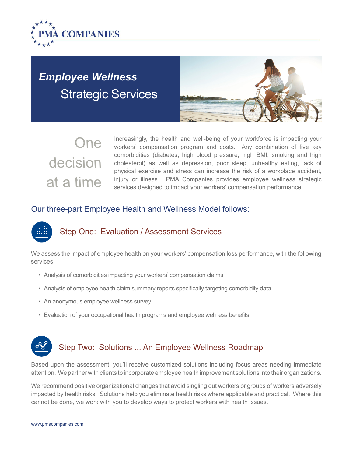

## *Employee Wellness* Strategic Services



# One decision at a time

Increasingly, the health and well-being of your workforce is impacting your workers' compensation program and costs. Any combination of five key comorbidities (diabetes, high blood pressure, high BMI, smoking and high cholesterol) as well as depression, poor sleep, unhealthy eating, lack of physical exercise and stress can increase the risk of a workplace accident, injury or illness. PMA Companies provides employee wellness strategic services designed to impact your workers' compensation performance.

#### Our three-part Employee Health and Wellness Model follows:

## Step One: Evaluation / Assessment Services

We assess the impact of employee health on your workers' compensation loss performance, with the following services:

- Analysis of comorbidities impacting your workers' compensation claims
- Analysis of employee health claim summary reports specifically targeting comorbidity data
- An anonymous employee wellness survey
- Evaluation of your occupational health programs and employee wellness benefits

## Step Two: Solutions ... An Employee Wellness Roadmap

Based upon the assessment, you'll receive customized solutions including focus areas needing immediate attention. We partner with clients to incorporate employee health improvement solutions into their organizations.

We recommend positive organizational changes that avoid singling out workers or groups of workers adversely impacted by health risks. Solutions help you eliminate health risks where applicable and practical. Where this cannot be done, we work with you to develop ways to protect workers with health issues.